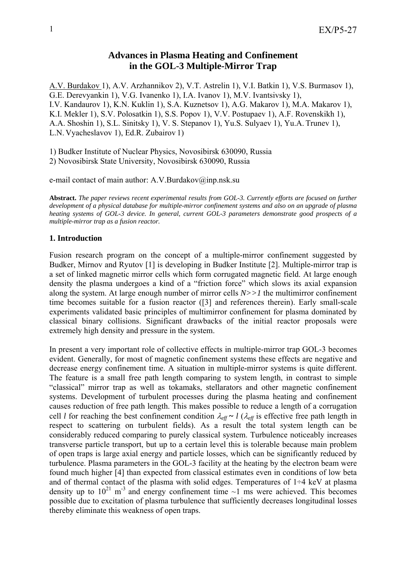# **Advances in Plasma Heating and Confinement in the GOL-3 Multiple-Mirror Trap**

A.V. Burdakov 1), A.V. Arzhannikov 2), V.T. Astrelin 1), V.I. Batkin 1), V.S. Burmasov 1), G.E. Derevyankin 1), V.G. Ivanenko 1), I.A. Ivanov 1), M.V. Ivantsivsky 1), I.V. Kandaurov 1), K.N. Kuklin 1), S.A. Kuznetsov 1), A.G. Makarov 1), M.A. Makarov 1), K.I. Mekler 1), S.V. Polosatkin 1), S.S. Popov 1), V.V. Postupaev 1), A.F. Rovenskikh 1), A.A. Shoshin 1), S.L. Sinitsky 1), V. S. Stepanov 1), Yu.S. Sulyaev 1), Yu.A. Trunev 1), L.N. Vyacheslavov 1), Ed.R. Zubairov 1)

1) Budker Institute of Nuclear Physics, Novosibirsk 630090, Russia 2) Novosibirsk State University, Novosibirsk 630090, Russia

e-mail contact of main author: A.V.Burdakov@inp.nsk.su

**Abstract.** *The paper reviews recent experimental results from GOL-3. Currently efforts are focused on further development of a physical database for multiple-mirror confinement systems and also on an upgrade of plasma heating systems of GOL-3 device. In general, current GOL-3 parameters demonstrate good prospects of a multiple-mirror trap as a fusion reactor.* 

## **1. Introduction**

Fusion research program on the concept of a multiple-mirror confinement suggested by Budker, Mirnov and Ryutov [1] is developing in Budker Institute [2]. Multiple-mirror trap is a set of linked magnetic mirror cells which form corrugated magnetic field. At large enough density the plasma undergoes a kind of a "friction force" which slows its axial expansion along the system. At large enough number of mirror cells *N>>1* the multimirror confinement time becomes suitable for a fusion reactor ([3] and references therein). Early small-scale experiments validated basic principles of multimirror confinement for plasma dominated by classical binary collisions. Significant drawbacks of the initial reactor proposals were extremely high density and pressure in the system.

In present a very important role of collective effects in multiple-mirror trap GOL-3 becomes evident. Generally, for most of magnetic confinement systems these effects are negative and decrease energy confinement time. A situation in multiple-mirror systems is quite different. The feature is a small free path length comparing to system length, in contrast to simple "classical" mirror trap as well as tokamaks, stellarators and other magnetic confinement systems. Development of turbulent processes during the plasma heating and confinement causes reduction of free path length. This makes possible to reduce a length of a corrugation cell *l* for reaching the best confinement condition  $\lambda_{\text{eff}} \sim l$  ( $\lambda_{\text{eff}}$  is effective free path length in respect to scattering on turbulent fields). As a result the total system length can be considerably reduced comparing to purely classical system. Turbulence noticeably increases transverse particle transport, but up to a certain level this is tolerable because main problem of open traps is large axial energy and particle losses, which can be significantly reduced by turbulence. Plasma parameters in the GOL-3 facility at the heating by the electron beam were found much higher [4] than expected from classical estimates even in conditions of low beta and of thermal contact of the plasma with solid edges. Temperatures of  $1\div 4$  keV at plasma density up to  $10^{21}$  m<sup>-3</sup> and energy confinement time  $\sim$ 1 ms were achieved. This becomes possible due to excitation of plasma turbulence that sufficiently decreases longitudinal losses thereby eliminate this weakness of open traps.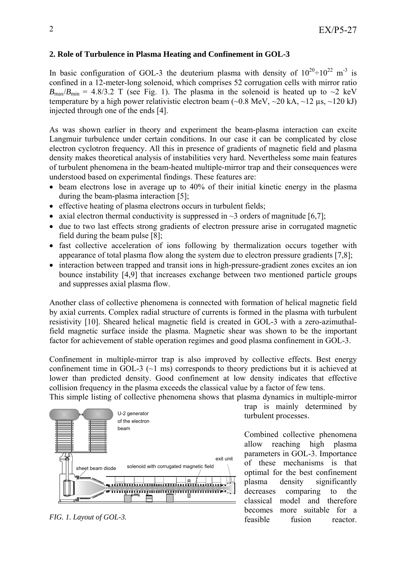# **2. Role of Turbulence in Plasma Heating and Confinement in GOL-3**

In basic configuration of GOL-3 the deuterium plasma with density of  $10^{20} \div 10^{22}$  m<sup>-3</sup> is confined in a 12-meter-long solenoid, which comprises 52 corrugation cells with mirror ratio  $B_{\text{max}}/B_{\text{min}} = 4.8/3.2$  T (see Fig. 1). The plasma in the solenoid is heated up to  $\sim$ 2 keV temperature by a high power relativistic electron beam  $(\sim 0.8 \text{ MeV}, \sim 20 \text{ kA}, \sim 12 \text{ us}, \sim 120 \text{ kJ})$ injected through one of the ends [4].

As was shown earlier in theory and experiment the beam-plasma interaction can excite Langmuir turbulence under certain conditions. In our case it can be complicated by close electron cyclotron frequency. All this in presence of gradients of magnetic field and plasma density makes theoretical analysis of instabilities very hard. Nevertheless some main features of turbulent phenomena in the beam-heated multiple-mirror trap and their consequences were understood based on experimental findings. These features are:

- beam electrons lose in average up to 40% of their initial kinetic energy in the plasma during the beam-plasma interaction [5];
- effective heating of plasma electrons occurs in turbulent fields;
- axial electron thermal conductivity is suppressed in  $\sim$ 3 orders of magnitude [6,7];
- due to two last effects strong gradients of electron pressure arise in corrugated magnetic field during the beam pulse [8];
- fast collective acceleration of ions following by thermalization occurs together with appearance of total plasma flow along the system due to electron pressure gradients [7,8];
- interaction between trapped and transit ions in high-pressure-gradient zones excites an ion bounce instability [4,9] that increases exchange between two mentioned particle groups and suppresses axial plasma flow.

Another class of collective phenomena is connected with formation of helical magnetic field by axial currents. Complex radial structure of currents is formed in the plasma with turbulent resistivity [10]. Sheared helical magnetic field is created in GOL-3 with a zero-azimuthalfield magnetic surface inside the plasma. Magnetic shear was shown to be the important factor for achievement of stable operation regimes and good plasma confinement in GOL-3.

Confinement in multiple-mirror trap is also improved by collective effects. Best energy confinement time in GOL-3 (~1 ms) corresponds to theory predictions but it is achieved at lower than predicted density. Good confinement at low density indicates that effective collision frequency in the plasma exceeds the classical value by a factor of few tens.

This simple listing of collective phenomena shows that plasma dynamics in multiple-mirror



*FIG. 1. Layout of GOL-3.* 

trap is mainly determined by turbulent processes.

Combined collective phenomena allow reaching high plasma parameters in GOL-3. Importance of these mechanisms is that optimal for the best confinement plasma density significantly decreases comparing to the classical model and therefore becomes more suitable for a feasible fusion reactor.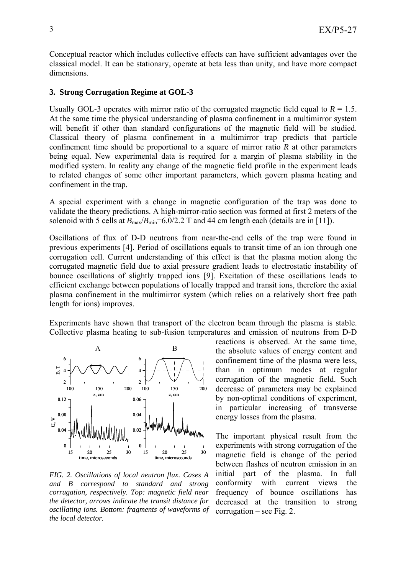Conceptual reactor which includes collective effects can have sufficient advantages over the classical model. It can be stationary, operate at beta less than unity, and have more compact dimensions.

#### **3. Strong Corrugation Regime at GOL-3**

Usually GOL-3 operates with mirror ratio of the corrugated magnetic field equal to  $R = 1.5$ . At the same time the physical understanding of plasma confinement in a multimirror system will benefit if other than standard configurations of the magnetic field will be studied. Classical theory of plasma confinement in a multimirror trap predicts that particle confinement time should be proportional to a square of mirror ratio *R* at other parameters being equal. New experimental data is required for a margin of plasma stability in the modified system. In reality any change of the magnetic field profile in the experiment leads to related changes of some other important parameters, which govern plasma heating and confinement in the trap.

A special experiment with a change in magnetic configuration of the trap was done to validate the theory predictions. A high-mirror-ratio section was formed at first 2 meters of the solenoid with 5 cells at  $B_{\text{max}}/B_{\text{min}}=6.0/2.2$  T and 44 cm length each (details are in [11]).

Oscillations of flux of D-D neutrons from near-the-end cells of the trap were found in previous experiments [4]. Period of oscillations equals to transit time of an ion through one corrugation cell. Current understanding of this effect is that the plasma motion along the corrugated magnetic field due to axial pressure gradient leads to electrostatic instability of bounce oscillations of slightly trapped ions [9]. Excitation of these oscillations leads to efficient exchange between populations of locally trapped and transit ions, therefore the axial plasma confinement in the multimirror system (which relies on a relatively short free path length for ions) improves.

Experiments have shown that transport of the electron beam through the plasma is stable. Collective plasma heating to sub-fusion temperatures and emission of neutrons from D-D



*FIG. 2. Oscillations of local neutron flux. Cases A and B correspond to standard and strong corrugation, respectively. Top: magnetic field near the detector, arrows indicate the transit distance for oscillating ions. Bottom: fragments of waveforms of the local detector.* 

reactions is observed. At the same time, the absolute values of energy content and confinement time of the plasma were less, than in optimum modes at regular corrugation of the magnetic field. Such decrease of parameters may be explained by non-optimal conditions of experiment, in particular increasing of transverse energy losses from the plasma.

The important physical result from the experiments with strong corrugation of the magnetic field is change of the period between flashes of neutron emission in an initial part of the plasma. In full conformity with current views the frequency of bounce oscillations has decreased at the transition to strong  $corrugation - see Fig. 2.$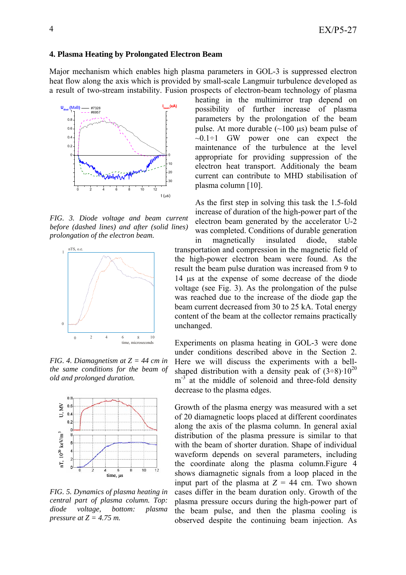### **4. Plasma Heating by Prolongated Electron Beam**

Major mechanism which enables high plasma parameters in GOL-3 is suppressed electron heat flow along the axis which is provided by small-scale Langmuir turbulence developed as a result of two-stream instability. Fusion prospects of electron-beam technology of plasma



*FIG. 3. Diode voltage and beam current before (dashed lines) and after (solid lines) prolongation of the electron beam.* 



*FIG. 4. Diamagnetism at Z = 44 cm in the same conditions for the beam of old and prolonged duration.* 



*FIG. 5. Dynamics of plasma heating in central part of plasma column. Top: diode voltage, bottom: plasma pressure at Z = 4.75 m.* 

heating in the multimirror trap depend on possibility of further increase of plasma parameters by the prolongation of the beam pulse. At more durable  $(\sim 100 \text{ }\mu\text{s})$  beam pulse of  $\sim 0.1 \div 1$  GW power one can expect the maintenance of the turbulence at the level appropriate for providing suppression of the electron heat transport. Additionaly the beam current can contribute to MHD stabilisation of plasma column [10].

As the first step in solving this task the 1.5-fold increase of duration of the high-power part of the electron beam generated by the accelerator U-2 was completed. Conditions of durable generation

in magnetically insulated diode, stable transportation and compression in the magnetic field of the high-power electron beam were found. As the result the beam pulse duration was increased from 9 to 14 µs at the expense of some decrease of the diode voltage (see Fig. 3). As the prolongation of the pulse was reached due to the increase of the diode gap the beam current decreased from 30 to 25 kA. Total energy content of the beam at the collector remains practically unchanged.

Experiments on plasma heating in GOL-3 were done under conditions described above in the Section 2. Here we will discuss the experiments with a bellshaped distribution with a density peak of  $(3-8)$  10<sup>20</sup>  $m<sup>-3</sup>$  at the middle of solenoid and three-fold density decrease to the plasma edges.

Growth of the plasma energy was measured with a set of 20 diamagnetic loops placed at different coordinates along the axis of the plasma column. In general axial distribution of the plasma pressure is similar to that with the beam of shorter duration. Shape of individual waveform depends on several parameters, including the coordinate along the plasma column.Figure 4 shows diamagnetic signals from a loop placed in the input part of the plasma at  $Z = 44$  cm. Two shown cases differ in the beam duration only. Growth of the plasma pressure occurs during the high-power part of the beam pulse, and then the plasma cooling is observed despite the continuing beam injection. As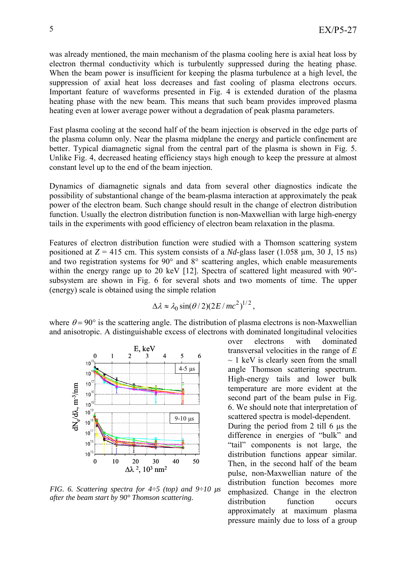was already mentioned, the main mechanism of the plasma cooling here is axial heat loss by electron thermal conductivity which is turbulently suppressed during the heating phase. When the beam power is insufficient for keeping the plasma turbulence at a high level, the suppression of axial heat loss decreases and fast cooling of plasma electrons occurs. Important feature of waveforms presented in Fig. 4 is extended duration of the plasma heating phase with the new beam. This means that such beam provides improved plasma heating even at lower average power without a degradation of peak plasma parameters.

Fast plasma cooling at the second half of the beam injection is observed in the edge parts of the plasma column only. Near the plasma midplane the energy and particle confinement are better. Typical diamagnetic signal from the central part of the plasma is shown in Fig. 5. Unlike Fig. 4, decreased heating efficiency stays high enough to keep the pressure at almost constant level up to the end of the beam injection.

Dynamics of diamagnetic signals and data from several other diagnostics indicate the possibility of substantional change of the beam-plasma interaction at approximately the peak power of the electron beam. Such change should result in the change of electron distribution function. Usually the electron distribution function is non-Maxwellian with large high-energy tails in the experiments with good efficiency of electron beam relaxation in the plasma.

Features of electron distribution function were studied with a Thomson scattering system positioned at  $Z = 415$  cm. This system consists of a *Nd*-glass laser (1.058  $\mu$ m, 30 J, 15 ns) and two registration systems for 90° and 8° scattering angles, which enable measurements within the energy range up to 20 keV [12]. Spectra of scattered light measured with 90<sup>°</sup>subsystem are shown in Fig. 6 for several shots and two moments of time. The upper (energy) scale is obtained using the simple relation

$$
\Delta \lambda \approx \lambda_0 \sin(\theta/2)(2E/mc^2)^{1/2},
$$

where  $\theta = 90^{\circ}$  is the scattering angle. The distribution of plasma electrons is non-Maxwellian and anisotropic. A distinguishable excess of electrons with dominated longitudinal velocities



*FIG. 6. Scattering spectra for 4÷5 (top) and 9÷10 µs after the beam start by 90° Thomson scattering.* 

over electrons with dominated transversal velocities in the range of *E*   $\sim$  1 keV is clearly seen from the small angle Thomson scattering spectrum. High-energy tails and lower bulk temperature are more evident at the second part of the beam pulse in Fig. 6. We should note that interpretation of scattered spectra is model-dependent. During the period from 2 till 6 µs the difference in energies of "bulk" and "tail" components is not large, the distribution functions appear similar. Then, in the second half of the beam pulse, non-Maxwellian nature of the distribution function becomes more emphasized. Change in the electron distribution function occurs approximately at maximum plasma pressure mainly due to loss of a group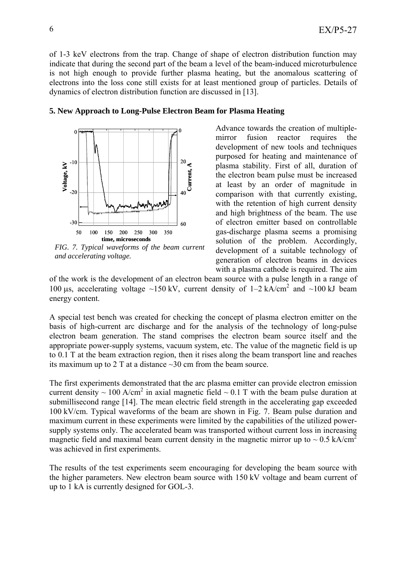of 1-3 keV electrons from the trap. Change of shape of electron distribution function may indicate that during the second part of the beam a level of the beam-induced microturbulence is not high enough to provide further plasma heating, but the anomalous scattering of electrons into the loss cone still exists for at least mentioned group of particles. Details of dynamics of electron distribution function are discussed in [13].



*and accelerating voltage.* 

mirror fusion reactor requires the development of new tools and techniques purposed for heating and maintenance of plasma stability. First of all, duration of the electron beam pulse must be increased at least by an order of magnitude in comparison with that currently existing, with the retention of high current density and high brightness of the beam. The use of electron emitter based on controllable gas-discharge plasma seems a promising solution of the problem. Accordingly, development of a suitable technology of generation of electron beams in devices with a plasma cathode is required. The aim

Advance towards the creation of multiple-

of the work is the development of an electron beam source with a pulse length in a range of 100  $\mu$ s, accelerating voltage ~150 kV, current density of 1–2 kA/cm<sup>2</sup> and ~100 kJ beam energy content.

A special test bench was created for checking the concept of plasma electron emitter on the basis of high-current arc discharge and for the analysis of the technology of long-pulse electron beam generation. The stand comprises the electron beam source itself and the appropriate power-supply systems, vacuum system, etc. The value of the magnetic field is up to 0.1 T at the beam extraction region, then it rises along the beam transport line and reaches its maximum up to 2 T at a distance ~30 cm from the beam source.

The first experiments demonstrated that the arc plasma emitter can provide electron emission current density  $\sim 100$  A/cm<sup>2</sup> in axial magnetic field  $\sim 0.1$  T with the beam pulse duration at submillisecond range [14]. The mean electric field strength in the accelerating gap exceeded 100 kV/cm. Typical waveforms of the beam are shown in Fig. 7. Beam pulse duration and maximum current in these experiments were limited by the capabilities of the utilized powersupply systems only. The accelerated beam was transported without current loss in increasing magnetic field and maximal beam current density in the magnetic mirror up to  $\sim 0.5$  kA/cm<sup>2</sup> was achieved in first experiments.

The results of the test experiments seem encouraging for developing the beam source with the higher parameters. New electron beam source with 150 kV voltage and beam current of up to 1 kA is currently designed for GOL-3.

# **5. New Approach to Long-Pulse Electron Beam for Plasma Heating**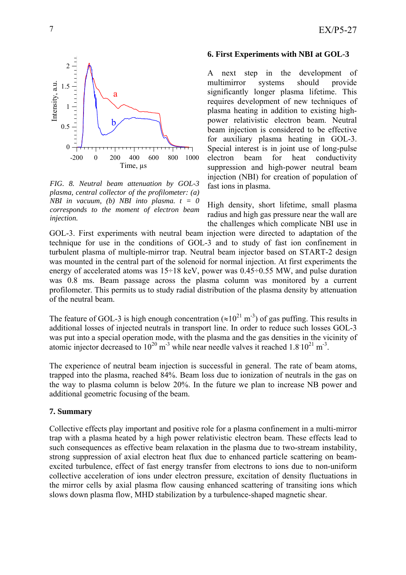

*FIG. 8. Neutral beam attenuation by GOL-3 plasma, central collector of the profilometer: (a) NBI in vacuum, (b) NBI into plasma. t = 0 corresponds to the moment of electron beam injection.* 

## **6. First Experiments with NBI at GOL-3**

A next step in the development of multimirror systems should provide significantly longer plasma lifetime. This requires development of new techniques of plasma heating in addition to existing highpower relativistic electron beam. Neutral beam injection is considered to be effective for auxiliary plasma heating in GOL-3. Special interest is in joint use of long-pulse electron beam for heat conductivity suppression and high-power neutral beam injection (NBI) for creation of population of fast ions in plasma.

High density, short lifetime, small plasma radius and high gas pressure near the wall are the challenges which complicate NBI use in

GOL-3. First experiments with neutral beam injection were directed to adaptation of the technique for use in the conditions of GOL-3 and to study of fast ion confinement in turbulent plasma of multiple-mirror trap. Neutral beam injector based on START-2 design was mounted in the central part of the solenoid for normal injection. At first experiments the energy of accelerated atoms was 15÷18 keV, power was 0.45÷0.55 MW, and pulse duration was 0.8 ms. Beam passage across the plasma column was monitored by a current profilometer. This permits us to study radial distribution of the plasma density by attenuation of the neutral beam.

The feature of GOL-3 is high enough concentration ( $\approx 10^{21}$  m<sup>-3</sup>) of gas puffing. This results in additional losses of injected neutrals in transport line. In order to reduce such losses GOL-3 was put into a special operation mode, with the plasma and the gas densities in the vicinity of atomic injector decreased to  $10^{20}$  m<sup>-3</sup> while near needle valves it reached  $1.8 \times 10^{21}$  m<sup>-3</sup>.

The experience of neutral beam injection is successful in general. The rate of beam atoms, trapped into the plasma, reached 84%. Beam loss due to ionization of neutrals in the gas on the way to plasma column is below 20%. In the future we plan to increase NB power and additional geometric focusing of the beam.

### **7. Summary**

Collective effects play important and positive role for a plasma confinement in a multi-mirror trap with a plasma heated by a high power relativistic electron beam. These effects lead to such consequences as effective beam relaxation in the plasma due to two-stream instability, strong suppression of axial electron heat flux due to enhanced particle scattering on beamexcited turbulence, effect of fast energy transfer from electrons to ions due to non-uniform collective acceleration of ions under electron pressure, excitation of density fluctuations in the mirror cells by axial plasma flow causing enhanced scattering of transiting ions which slows down plasma flow, MHD stabilization by a turbulence-shaped magnetic shear.